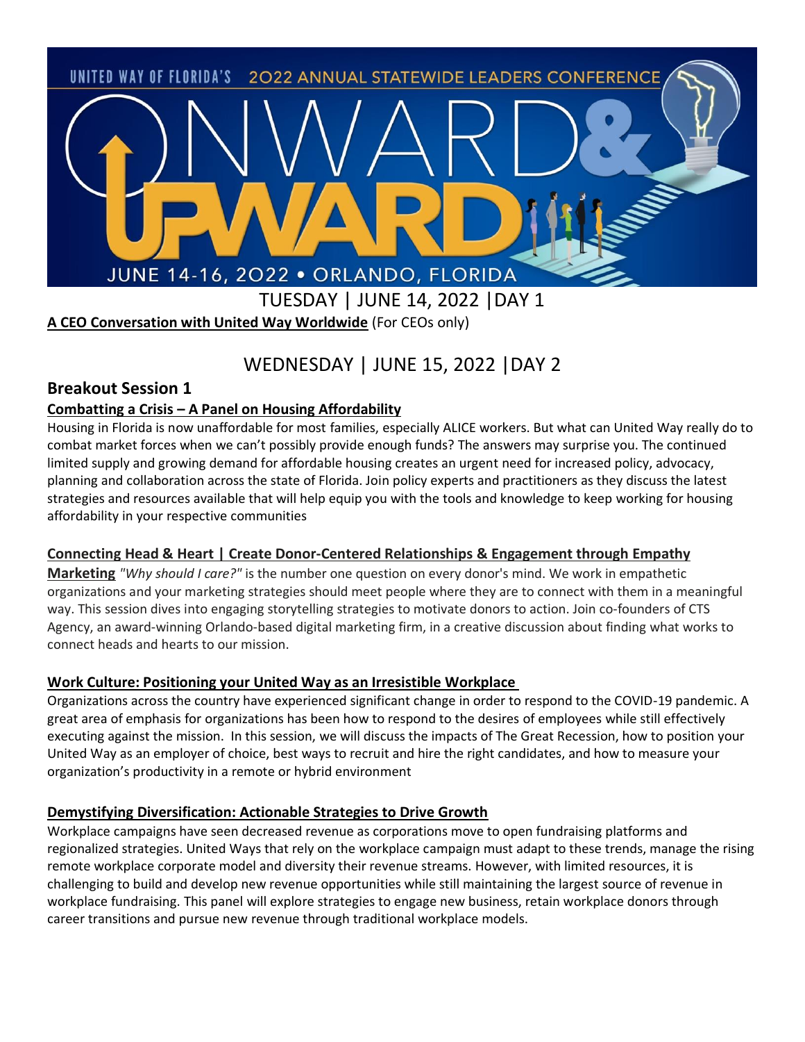

TUESDAY | JUNE 14, 2022 |DAY 1 **A CEO Conversation with United Way Worldwide** (For CEOs only)

# WEDNESDAY | JUNE 15, 2022 |DAY 2

# **Breakout Session 1**

## **Combatting a Crisis – A Panel on Housing Affordability**

Housing in Florida is now unaffordable for most families, especially ALICE workers. But what can United Way really do to combat market forces when we can't possibly provide enough funds? The answers may surprise you. The continued limited supply and growing demand for affordable housing creates an urgent need for increased policy, advocacy, planning and collaboration across the state of Florida. Join policy experts and practitioners as they discuss the latest strategies and resources available that will help equip you with the tools and knowledge to keep working for housing affordability in your respective communities

## **Connecting Head & Heart | Create Donor-Centered Relationships & Engagement through Empathy**

**Marketing** *"Why should I care?"* is the number one question on every donor's mind. We work in empathetic organizations and your marketing strategies should meet people where they are to connect with them in a meaningful way. This session dives into engaging storytelling strategies to motivate donors to action. Join co-founders of CTS Agency, an award-winning Orlando-based digital marketing firm, in a creative discussion about finding what works to connect heads and hearts to our mission.

## **Work Culture: Positioning your United Way as an Irresistible Workplace**

Organizations across the country have experienced significant change in order to respond to the COVID-19 pandemic. A great area of emphasis for organizations has been how to respond to the desires of employees while still effectively executing against the mission. In this session, we will discuss the impacts of The Great Recession, how to position your United Way as an employer of choice, best ways to recruit and hire the right candidates, and how to measure your organization's productivity in a remote or hybrid environment

## **Demystifying Diversification: Actionable Strategies to Drive Growth**

Workplace campaigns have seen decreased revenue as corporations move to open fundraising platforms and regionalized strategies. United Ways that rely on the workplace campaign must adapt to these trends, manage the rising remote workplace corporate model and diversity their revenue streams. However, with limited resources, it is challenging to build and develop new revenue opportunities while still maintaining the largest source of revenue in workplace fundraising. This panel will explore strategies to engage new business, retain workplace donors through career transitions and pursue new revenue through traditional workplace models.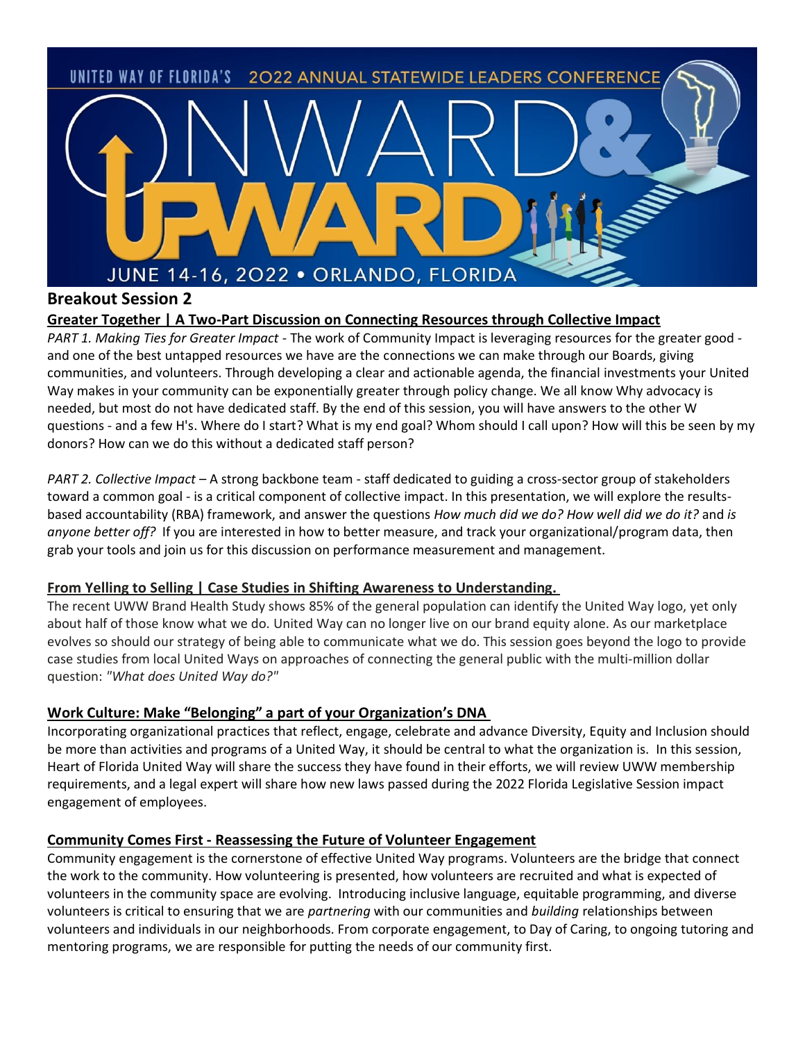

# **Breakout Session 2**

## **Greater Together | A Two-Part Discussion on Connecting Resources through Collective Impact**

*PART 1. Making Ties for Greater Impact* - The work of Community Impact is leveraging resources for the greater good and one of the best untapped resources we have are the connections we can make through our Boards, giving communities, and volunteers. Through developing a clear and actionable agenda, the financial investments your United Way makes in your community can be exponentially greater through policy change. We all know Why advocacy is needed, but most do not have dedicated staff. By the end of this session, you will have answers to the other W questions - and a few H's. Where do I start? What is my end goal? Whom should I call upon? How will this be seen by my donors? How can we do this without a dedicated staff person?

*PART 2. Collective Impact* – A strong backbone team - staff dedicated to guiding a cross-sector group of stakeholders toward a common goal - is a critical component of collective impact. In this presentation, we will explore the resultsbased accountability (RBA) framework, and answer the questions *How much did we do? How well did we do it?* and *is anyone better off?* If you are interested in how to better measure, and track your organizational/program data, then grab your tools and join us for this discussion on performance measurement and management.

#### **From Yelling to Selling | Case Studies in Shifting Awareness to Understanding.**

The recent UWW Brand Health Study shows 85% of the general population can identify the United Way logo, yet only about half of those know what we do. United Way can no longer live on our brand equity alone. As our marketplace evolves so should our strategy of being able to communicate what we do. This session goes beyond the logo to provide case studies from local United Ways on approaches of connecting the general public with the multi-million dollar question: *"What does United Way do?"*

## **Work Culture: Make "Belonging" a part of your Organization's DNA**

Incorporating organizational practices that reflect, engage, celebrate and advance Diversity, Equity and Inclusion should be more than activities and programs of a United Way, it should be central to what the organization is. In this session, Heart of Florida United Way will share the success they have found in their efforts, we will review UWW membership requirements, and a legal expert will share how new laws passed during the 2022 Florida Legislative Session impact engagement of employees.

## **Community Comes First - Reassessing the Future of Volunteer Engagement**

Community engagement is the cornerstone of effective United Way programs. Volunteers are the bridge that connect the work to the community. How volunteering is presented, how volunteers are recruited and what is expected of volunteers in the community space are evolving. Introducing inclusive language, equitable programming, and diverse volunteers is critical to ensuring that we are *partnering* with our communities and *building* relationships between volunteers and individuals in our neighborhoods. From corporate engagement, to Day of Caring, to ongoing tutoring and mentoring programs, we are responsible for putting the needs of our community first.